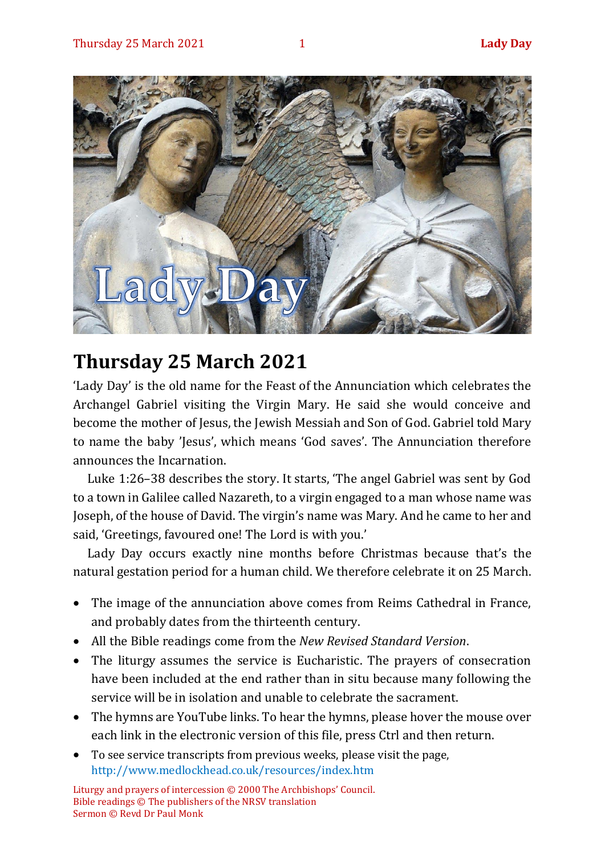

# **Thursday 25 March 2021**

'Lady Day' is the old name for the Feast of the Annunciation which celebrates the Archangel Gabriel visiting the Virgin Mary. He said she would conceive and become the mother of Jesus, the Jewish Messiah and Son of God. Gabriel told Mary to name the baby 'Jesus', which means 'God saves'. The Annunciation therefore announces the Incarnation.

Luke 1:26–38 describes the story. It starts, 'The angel Gabriel was sent by God to a town in Galilee called Nazareth, to a virgin engaged to a man whose name was Joseph, of the house of David. The virgin's name was Mary. And he came to her and said, 'Greetings, favoured one! The Lord is with you.'

Lady Day occurs exactly nine months before Christmas because that's the natural gestation period for a human child. We therefore celebrate it on 25 March.

- The image of the annunciation above comes from Reims Cathedral in France, and probably dates from the thirteenth century.
- All the Bible readings come from the *New Revised Standard Version*.
- The liturgy assumes the service is Eucharistic. The prayers of consecration have been included at the end rather than in situ because many following the service will be in isolation and unable to celebrate the sacrament.
- The hymns are YouTube links. To hear the hymns, please hover the mouse over each link in the electronic version of this file, press Ctrl and then return.
- To see service transcripts from previous weeks, please visit the page, <http://www.medlockhead.co.uk/resources/index.htm>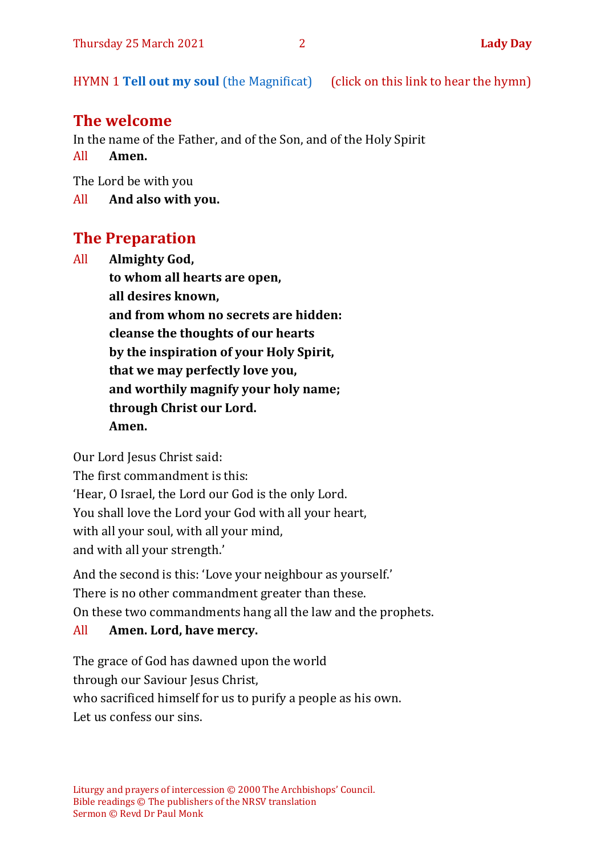HYMN 1 **[Tell out my soul](https://www.youtube.com/watch?v=-_JnUppvTAQ)** (the Magnificat) (click on this link to hear the hymn)

## **The welcome**

In the name of the Father, and of the Son, and of the Holy Spirit

All **Amen.**

The Lord be with you

All **And also with you.**

## **The Preparation**

All **Almighty God, to whom all hearts are open, all desires known, and from whom no secrets are hidden: cleanse the thoughts of our hearts by the inspiration of your Holy Spirit, that we may perfectly love you, and worthily magnify your holy name; through Christ our Lord. Amen.**

Our Lord Jesus Christ said:

The first commandment is this: 'Hear, O Israel, the Lord our God is the only Lord. You shall love the Lord your God with all your heart, with all your soul, with all your mind, and with all your strength.'

And the second is this: 'Love your neighbour as yourself.' There is no other commandment greater than these. On these two commandments hang all the law and the prophets.

#### All **Amen. Lord, have mercy.**

The grace of God has dawned upon the world through our Saviour Jesus Christ, who sacrificed himself for us to purify a people as his own. Let us confess our sins.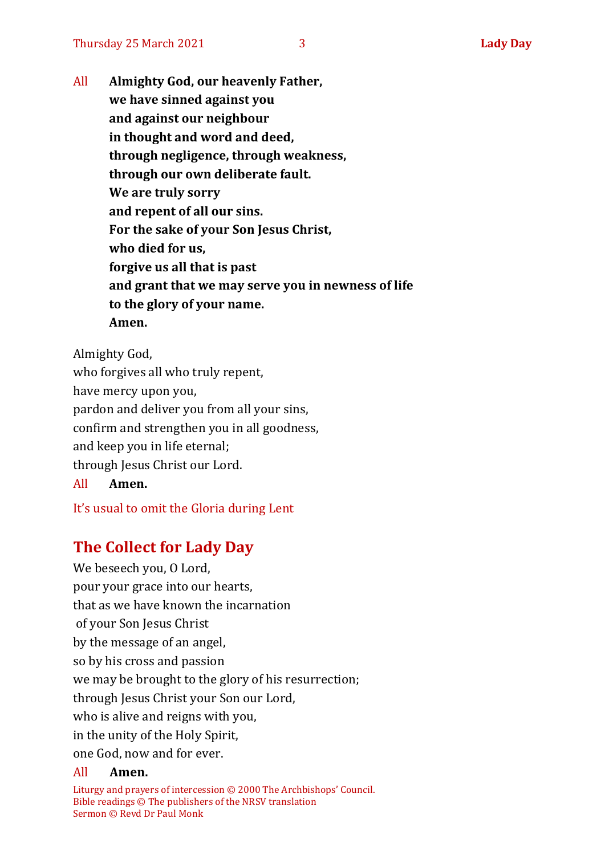All **Almighty God, our heavenly Father, we have sinned against you and against our neighbour in thought and word and deed, through negligence, through weakness, through our own deliberate fault. We are truly sorry and repent of all our sins. For the sake of your Son Jesus Christ, who died for us, forgive us all that is past and grant that we may serve you in newness of life to the glory of your name. Amen.**

Almighty God,

who forgives all who truly repent, have mercy upon you, pardon and deliver you from all your sins, confirm and strengthen you in all goodness, and keep you in life eternal; through Jesus Christ our Lord.

All **Amen.**

It's usual to omit the Gloria during Lent

## **The Collect for Lady Day**

We beseech you, O Lord, pour your grace into our hearts, that as we have known the incarnation of your Son Jesus Christ by the message of an angel, so by his cross and passion we may be brought to the glory of his resurrection; through Jesus Christ your Son our Lord, who is alive and reigns with you, in the unity of the Holy Spirit, one God, now and for ever. All **Amen.**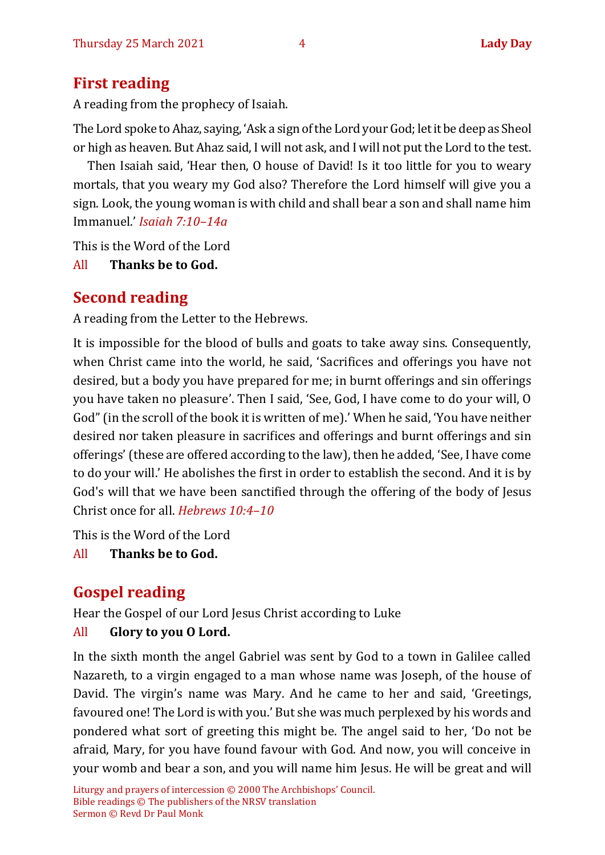## **First reading**

A reading from the prophecy of Isaiah.

The Lord spoke to Ahaz, saying, 'Ask a sign of the Lord your God; let it be deep as Sheol or high as heaven. But Ahaz said, I will not ask, and I will not put the Lord to the test.

Then Isaiah said, 'Hear then, O house of David! Is it too little for you to weary mortals, that you weary my God also? Therefore the Lord himself will give you a sign. Look, the young woman is with child and shall bear a son and shall name him Immanuel.' *Isaiah 7:10–14a*

This is the Word of the Lord

All **Thanks be to God.**

## **Second reading**

A reading from the Letter to the Hebrews.

It is impossible for the blood of bulls and goats to take away sins. Consequently, when Christ came into the world, he said, 'Sacrifices and offerings you have not desired, but a body you have prepared for me; in burnt offerings and sin offerings you have taken no pleasure'. Then I said, 'See, God, I have come to do your will, O God" (in the scroll of the book it is written of me).' When he said, 'You have neither desired nor taken pleasure in sacrifices and offerings and burnt offerings and sin offerings' (these are offered according to the law), then he added, 'See, I have come to do your will.' He abolishes the first in order to establish the second. And it is by God's will that we have been sanctified through the offering of the body of Jesus Christ once for all. *Hebrews 10:4–10*

This is the Word of the Lord

All **Thanks be to God.**

## **Gospel reading**

Hear the Gospel of our Lord Jesus Christ according to Luke

## All **Glory to you O Lord.**

In the sixth month the angel Gabriel was sent by God to a town in Galilee called Nazareth, to a virgin engaged to a man whose name was Joseph, of the house of David. The virgin's name was Mary. And he came to her and said, 'Greetings, favoured one! The Lord is with you.' But she was much perplexed by his words and pondered what sort of greeting this might be. The angel said to her, 'Do not be afraid, Mary, for you have found favour with God. And now, you will conceive in your womb and bear a son, and you will name him Jesus. He will be great and will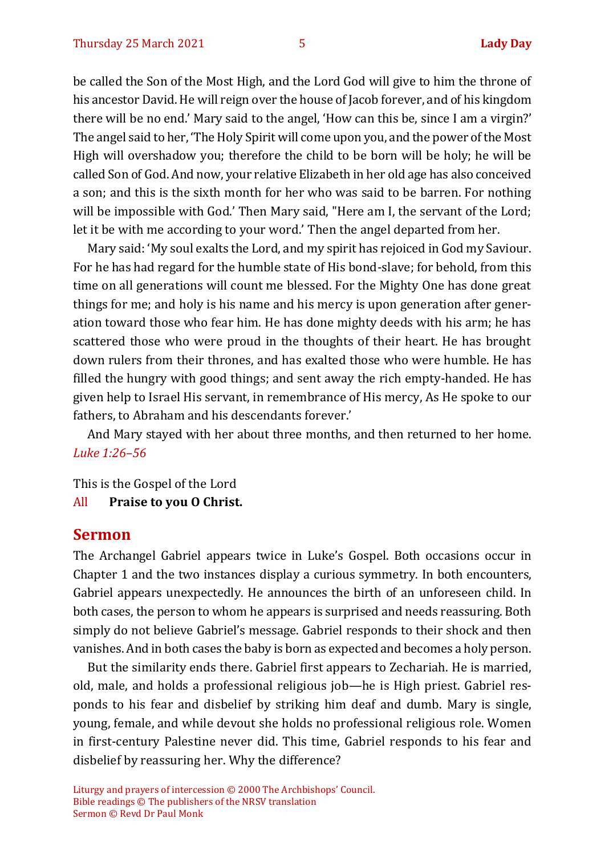be called the Son of the Most High, and the Lord God will give to him the throne of his ancestor David. He will reign over the house of Jacob forever, and of his kingdom there will be no end.' Mary said to the angel, 'How can this be, since I am a virgin?' The angel said to her, 'The Holy Spirit will come upon you, and the power of the Most High will overshadow you; therefore the child to be born will be holy; he will be called Son of God. And now, your relative Elizabeth in her old age has also conceived a son; and this is the sixth month for her who was said to be barren. For nothing will be impossible with God.' Then Mary said, "Here am I, the servant of the Lord; let it be with me according to your word.' Then the angel departed from her.

Mary said: 'My soul exalts the Lord, and my spirit has rejoiced in God my Saviour. For he has had regard for the humble state of His bond-slave; for behold, from this time on all generations will count me blessed. For the Mighty One has done great things for me; and holy is his name and his mercy is upon generation after generation toward those who fear him. He has done mighty deeds with his arm; he has scattered those who were proud in the thoughts of their heart. He has brought down rulers from their thrones, and has exalted those who were humble. He has filled the hungry with good things; and sent away the rich empty-handed. He has given help to Israel His servant, in remembrance of His mercy, As He spoke to our fathers, to Abraham and his descendants forever.'

And Mary stayed with her about three months, and then returned to her home. *Luke 1:26–56*

This is the Gospel of the Lord

#### All **Praise to you O Christ.**

#### **Sermon**

The Archangel Gabriel appears twice in Luke's Gospel. Both occasions occur in Chapter 1 and the two instances display a curious symmetry. In both encounters, Gabriel appears unexpectedly. He announces the birth of an unforeseen child. In both cases, the person to whom he appears is surprised and needs reassuring. Both simply do not believe Gabriel's message. Gabriel responds to their shock and then vanishes. And in both cases the baby is born as expected and becomes a holy person.

But the similarity ends there. Gabriel first appears to Zechariah. He is married, old, male, and holds a professional religious job—he is High priest. Gabriel responds to his fear and disbelief by striking him deaf and dumb. Mary is single, young, female, and while devout she holds no professional religious role. Women in first-century Palestine never did. This time, Gabriel responds to his fear and disbelief by reassuring her. Why the difference?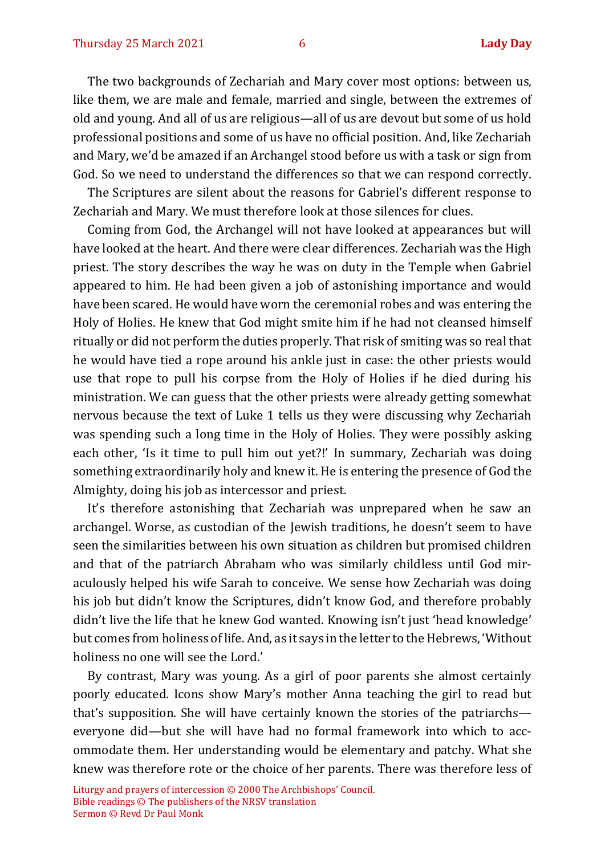The two backgrounds of Zechariah and Mary cover most options: between us, like them, we are male and female, married and single, between the extremes of old and young. And all of us are religious—all of us are devout but some of us hold professional positions and some of us have no official position. And, like Zechariah and Mary, we'd be amazed if an Archangel stood before us with a task or sign from God. So we need to understand the differences so that we can respond correctly.

The Scriptures are silent about the reasons for Gabriel's different response to Zechariah and Mary. We must therefore look at those silences for clues.

Coming from God, the Archangel will not have looked at appearances but will have looked at the heart. And there were clear differences. Zechariah was the High priest. The story describes the way he was on duty in the Temple when Gabriel appeared to him. He had been given a job of astonishing importance and would have been scared. He would have worn the ceremonial robes and was entering the Holy of Holies. He knew that God might smite him if he had not cleansed himself ritually or did not perform the duties properly. That risk of smiting was so real that he would have tied a rope around his ankle just in case: the other priests would use that rope to pull his corpse from the Holy of Holies if he died during his ministration. We can guess that the other priests were already getting somewhat nervous because the text of Luke 1 tells us they were discussing why Zechariah was spending such a long time in the Holy of Holies. They were possibly asking each other, 'Is it time to pull him out yet?!' In summary, Zechariah was doing something extraordinarily holy and knew it. He is entering the presence of God the Almighty, doing his job as intercessor and priest.

It's therefore astonishing that Zechariah was unprepared when he saw an archangel. Worse, as custodian of the Jewish traditions, he doesn't seem to have seen the similarities between his own situation as children but promised children and that of the patriarch Abraham who was similarly childless until God miraculously helped his wife Sarah to conceive. We sense how Zechariah was doing his job but didn't know the Scriptures, didn't know God, and therefore probably didn't live the life that he knew God wanted. Knowing isn't just 'head knowledge' but comes from holiness of life. And, as it says in the letter to the Hebrews, 'Without holiness no one will see the Lord.'

By contrast, Mary was young. As a girl of poor parents she almost certainly poorly educated. Icons show Mary's mother Anna teaching the girl to read but that's supposition. She will have certainly known the stories of the patriarchs everyone did—but she will have had no formal framework into which to accommodate them. Her understanding would be elementary and patchy. What she knew was therefore rote or the choice of her parents. There was therefore less of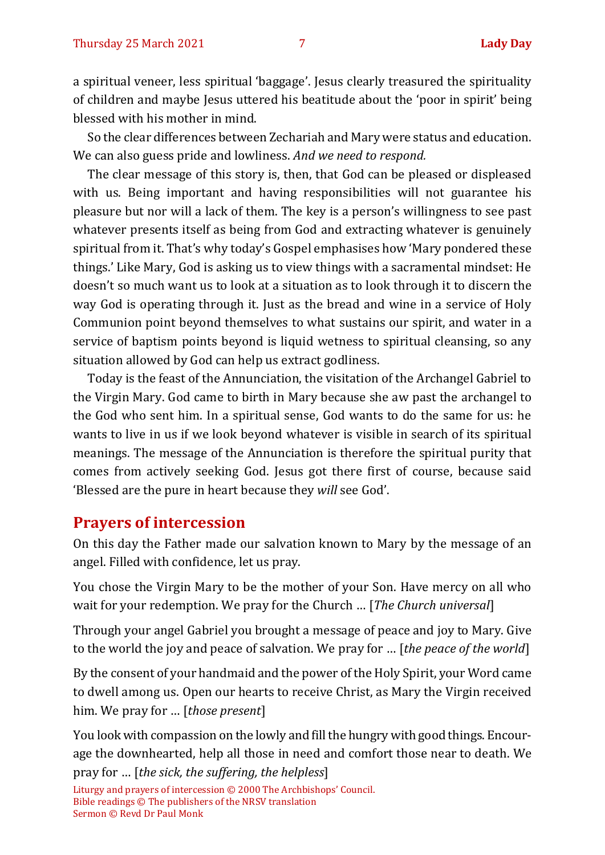a spiritual veneer, less spiritual 'baggage'. Jesus clearly treasured the spirituality of children and maybe Jesus uttered his beatitude about the 'poor in spirit' being blessed with his mother in mind.

So the clear differences between Zechariah and Mary were status and education. We can also guess pride and lowliness. *And we need to respond.*

The clear message of this story is, then, that God can be pleased or displeased with us. Being important and having responsibilities will not guarantee his pleasure but nor will a lack of them. The key is a person's willingness to see past whatever presents itself as being from God and extracting whatever is genuinely spiritual from it. That's why today's Gospel emphasises how 'Mary pondered these things.' Like Mary, God is asking us to view things with a sacramental mindset: He doesn't so much want us to look at a situation as to look through it to discern the way God is operating through it. Just as the bread and wine in a service of Holy Communion point beyond themselves to what sustains our spirit, and water in a service of baptism points beyond is liquid wetness to spiritual cleansing, so any situation allowed by God can help us extract godliness.

Today is the feast of the Annunciation, the visitation of the Archangel Gabriel to the Virgin Mary. God came to birth in Mary because she aw past the archangel to the God who sent him. In a spiritual sense, God wants to do the same for us: he wants to live in us if we look beyond whatever is visible in search of its spiritual meanings. The message of the Annunciation is therefore the spiritual purity that comes from actively seeking God. Jesus got there first of course, because said 'Blessed are the pure in heart because they *will* see God'.

#### **Prayers of intercession**

On this day the Father made our salvation known to Mary by the message of an angel. Filled with confidence, let us pray.

You chose the Virgin Mary to be the mother of your Son. Have mercy on all who wait for your redemption. We pray for the Church … [*The Church universal*]

Through your angel Gabriel you brought a message of peace and joy to Mary. Give to the world the joy and peace of salvation. We pray for … [*the peace of the world*]

By the consent of your handmaid and the power of the Holy Spirit, your Word came to dwell among us. Open our hearts to receive Christ, as Mary the Virgin received him. We pray for … [*those present*]

You look with compassion on the lowly and fill the hungry with good things. Encourage the downhearted, help all those in need and comfort those near to death. We pray for … [*the sick, the suffering, the helpless*]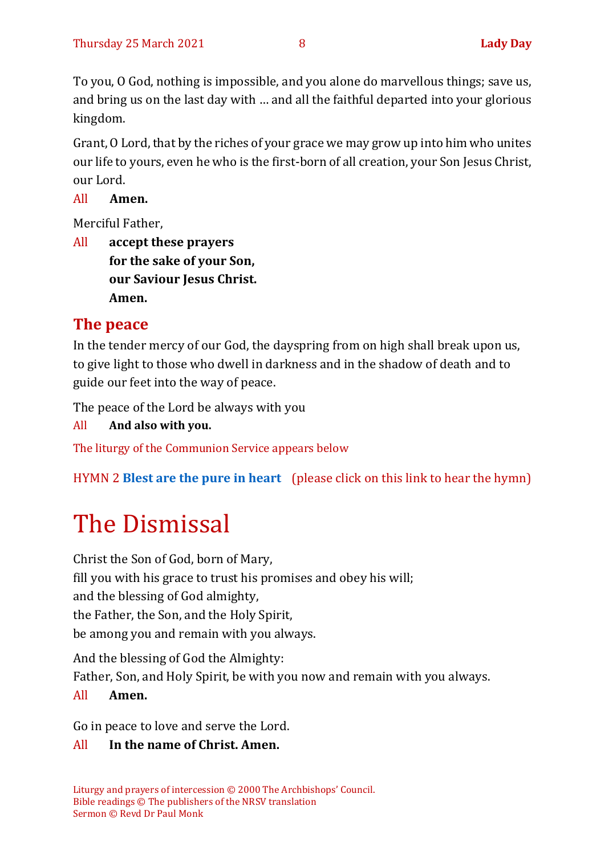To you, O God, nothing is impossible, and you alone do marvellous things; save us, and bring us on the last day with … and all the faithful departed into your glorious kingdom.

Grant, O Lord, that by the riches of your grace we may grow up into him who unites our life to yours, even he who is the first-born of all creation, your Son Jesus Christ, our Lord.

#### All **Amen.**

Merciful Father,

All **accept these prayers for the sake of your Son, our Saviour Jesus Christ. Amen.**

## **The peace**

In the tender mercy of our God, the dayspring from on high shall break upon us, to give light to those who dwell in darkness and in the shadow of death and to guide our feet into the way of peace.

The peace of the Lord be always with you

All **And also with you.**

The liturgy of the Communion Service appears below

HYMN 2 **[Blest are the pure in heart](https://www.youtube.com/watch?v=Z8h3fvk9wGY)** (please click on this link to hear the hymn)

# The Dismissal

Christ the Son of God, born of Mary, fill you with his grace to trust his promises and obey his will; and the blessing of God almighty, the Father, the Son, and the Holy Spirit, be among you and remain with you always.

And the blessing of God the Almighty:

Father, Son, and Holy Spirit, be with you now and remain with you always.

#### All **Amen.**

Go in peace to love and serve the Lord.

#### All **In the name of Christ. Amen.**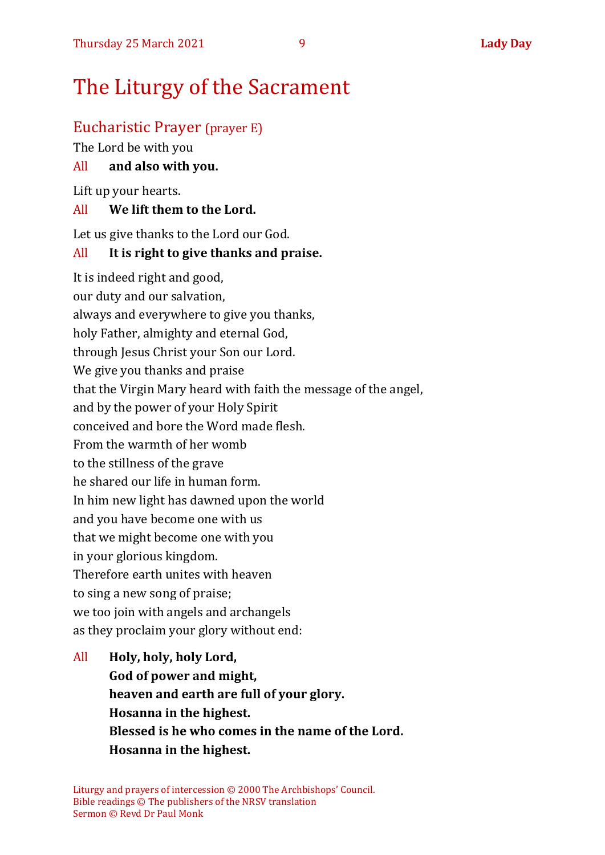# The Liturgy of the Sacrament

## Eucharistic Prayer (prayer E)

The Lord be with you

#### All **and also with you.**

Lift up your hearts.

#### All **We lift them to the Lord.**

Let us give thanks to the Lord our God.

#### All **It is right to give thanks and praise.**

It is indeed right and good, our duty and our salvation, always and everywhere to give you thanks, holy Father, almighty and eternal God, through Jesus Christ your Son our Lord. We give you thanks and praise that the Virgin Mary heard with faith the message of the angel, and by the power of your Holy Spirit conceived and bore the Word made flesh. From the warmth of her womb to the stillness of the grave he shared our life in human form. In him new light has dawned upon the world and you have become one with us that we might become one with you in your glorious kingdom. Therefore earth unites with heaven to sing a new song of praise; we too join with angels and archangels as they proclaim your glory without end:

All **Holy, holy, holy Lord, God of power and might, heaven and earth are full of your glory. Hosanna in the highest. Blessed is he who comes in the name of the Lord. Hosanna in the highest.**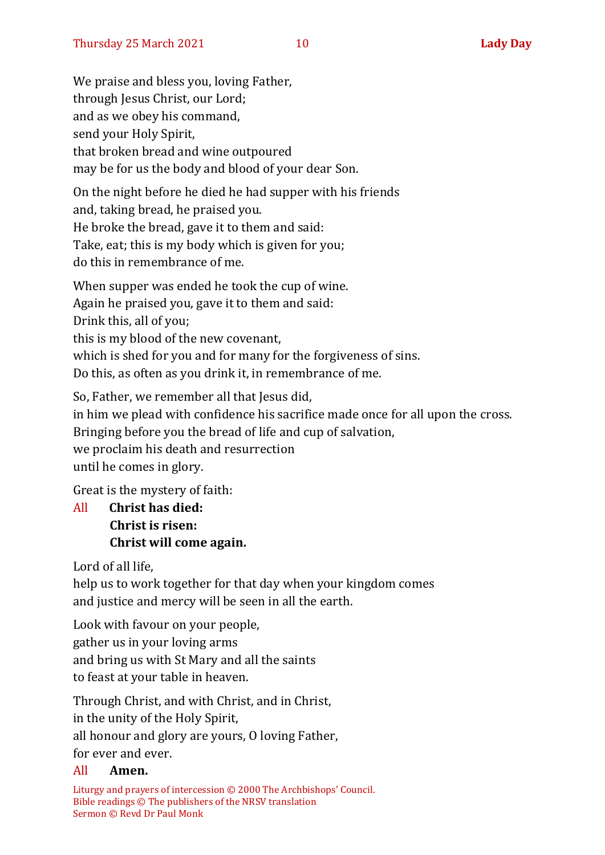We praise and bless you, loving Father, through Jesus Christ, our Lord; and as we obey his command, send your Holy Spirit, that broken bread and wine outpoured may be for us the body and blood of your dear Son.

On the night before he died he had supper with his friends and, taking bread, he praised you. He broke the bread, gave it to them and said: Take, eat; this is my body which is given for you; do this in remembrance of me.

When supper was ended he took the cup of wine. Again he praised you, gave it to them and said: Drink this, all of you; this is my blood of the new covenant, which is shed for you and for many for the forgiveness of sins. Do this, as often as you drink it, in remembrance of me.

So, Father, we remember all that Jesus did, in him we plead with confidence his sacrifice made once for all upon the cross. Bringing before you the bread of life and cup of salvation, we proclaim his death and resurrection until he comes in glory.

Great is the mystery of faith:

All **Christ has died: Christ is risen: Christ will come again.**

Lord of all life,

help us to work together for that day when your kingdom comes and justice and mercy will be seen in all the earth.

Look with favour on your people, gather us in your loving arms and bring us with St Mary and all the saints to feast at your table in heaven.

Through Christ, and with Christ, and in Christ, in the unity of the Holy Spirit, all honour and glory are yours, O loving Father,

for ever and ever.

#### All **Amen.**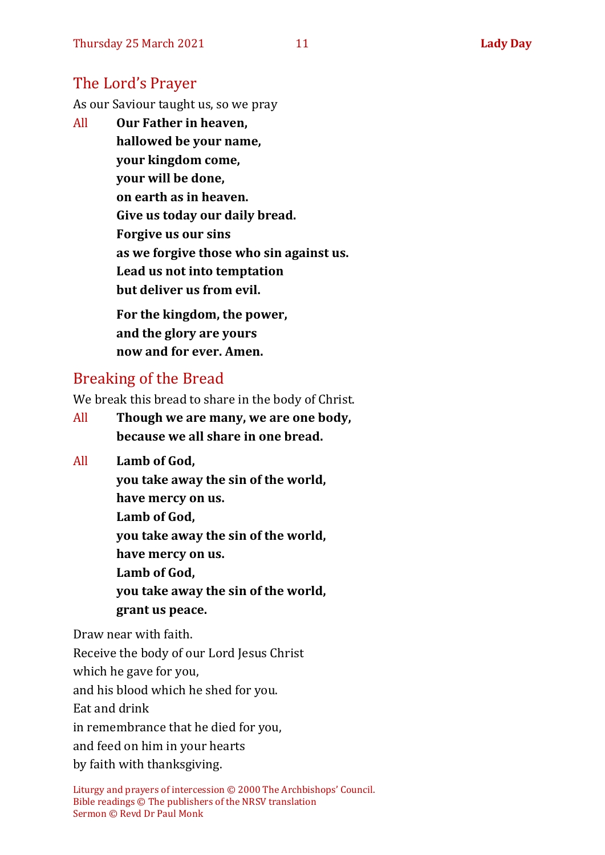## The Lord's Prayer

As our Saviour taught us, so we pray

All **Our Father in heaven, hallowed be your name, your kingdom come, your will be done, on earth as in heaven. Give us today our daily bread. Forgive us our sins as we forgive those who sin against us. Lead us not into temptation but deliver us from evil. For the kingdom, the power, and the glory are yours**

**now and for ever. Amen.**

## Breaking of the Bread

We break this bread to share in the body of Christ.

- All **Though we are many, we are one body, because we all share in one bread.**
- All **Lamb of God,**

**you take away the sin of the world, have mercy on us. Lamb of God, you take away the sin of the world, have mercy on us. Lamb of God, you take away the sin of the world, grant us peace.**

Draw near with faith.

Receive the body of our Lord Jesus Christ which he gave for you, and his blood which he shed for you. Eat and drink in remembrance that he died for you, and feed on him in your hearts by faith with thanksgiving.